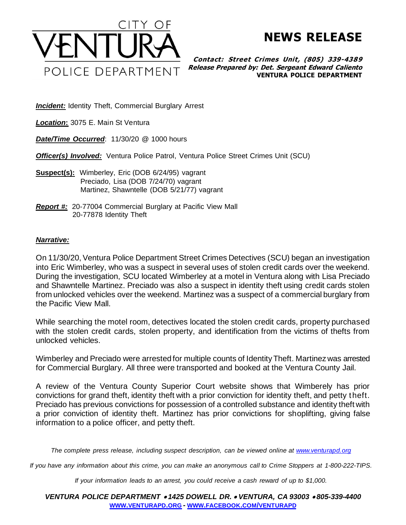

**NEWS RELEASE**

**Contact: Street Crimes Unit , (805) 339-4389 Release Prepared by: Det. Sergeant Edward Caliento VENTURA POLICE DEPARTMENT**

**Incident:** Identity Theft, Commercial Burglary Arrest

*Location***:** 3075 E. Main St Ventura

*Date/Time Occurred*: 11/30/20 @ 1000 hours

*Officer(s) Involved:* Ventura Police Patrol, Ventura Police Street Crimes Unit (SCU)

- **Suspect(s):** Wimberley, Eric (DOB 6/24/95) vagrant Preciado, Lisa (DOB 7/24/70) vagrant Martinez, Shawntelle (DOB 5/21/77) vagrant
- *Report #:* 20-77004 Commercial Burglary at Pacific View Mall 20-77878 Identity Theft

## *Narrative:*

On 11/30/20, Ventura Police Department Street Crimes Detectives (SCU) began an investigation into Eric Wimberley, who was a suspect in several uses of stolen credit cards over the weekend. During the investigation, SCU located Wimberley at a motel in Ventura along with Lisa Preciado and Shawntelle Martinez. Preciado was also a suspect in identity theft using credit cards stolen from unlocked vehicles over the weekend. Martinez was a suspect of a commercial burglary from the Pacific View Mall.

While searching the motel room, detectives located the stolen credit cards, property purchased with the stolen credit cards, stolen property, and identification from the victims of thefts from unlocked vehicles.

Wimberley and Preciado were arrested for multiple counts of Identity Theft. Martinez was arrested for Commercial Burglary. All three were transported and booked at the Ventura County Jail.

A review of the Ventura County Superior Court website shows that Wimberely has prior convictions for grand theft, identity theft with a prior conviction for identity theft, and petty theft. Preciado has previous convictions for possession of a controlled substance and identity theft with a prior conviction of identity theft. Martinez has prior convictions for shoplifting, giving false information to a police officer, and petty theft.

*The complete press release, including suspect description, can be viewed online a[t www.venturapd.org](http://www.venturapd.org/)*

*If you have any information about this crime, you can make an anonymous call to Crime Stoppers at 1-800-222-TIPS.*

*If your information leads to an arrest, you could receive a cash reward of up to \$1,000.*

*VENTURA POLICE DEPARTMENT* • *1425 DOWELL DR.* • *VENTURA, CA 93003* • *805-339-4400* **WWW.[VENTURAPD](http://www.venturapd.org/).ORG** *-* **WWW.FACEBOOK.COM/[VENTURAPD](http://www.facebook.com/venturapd)**